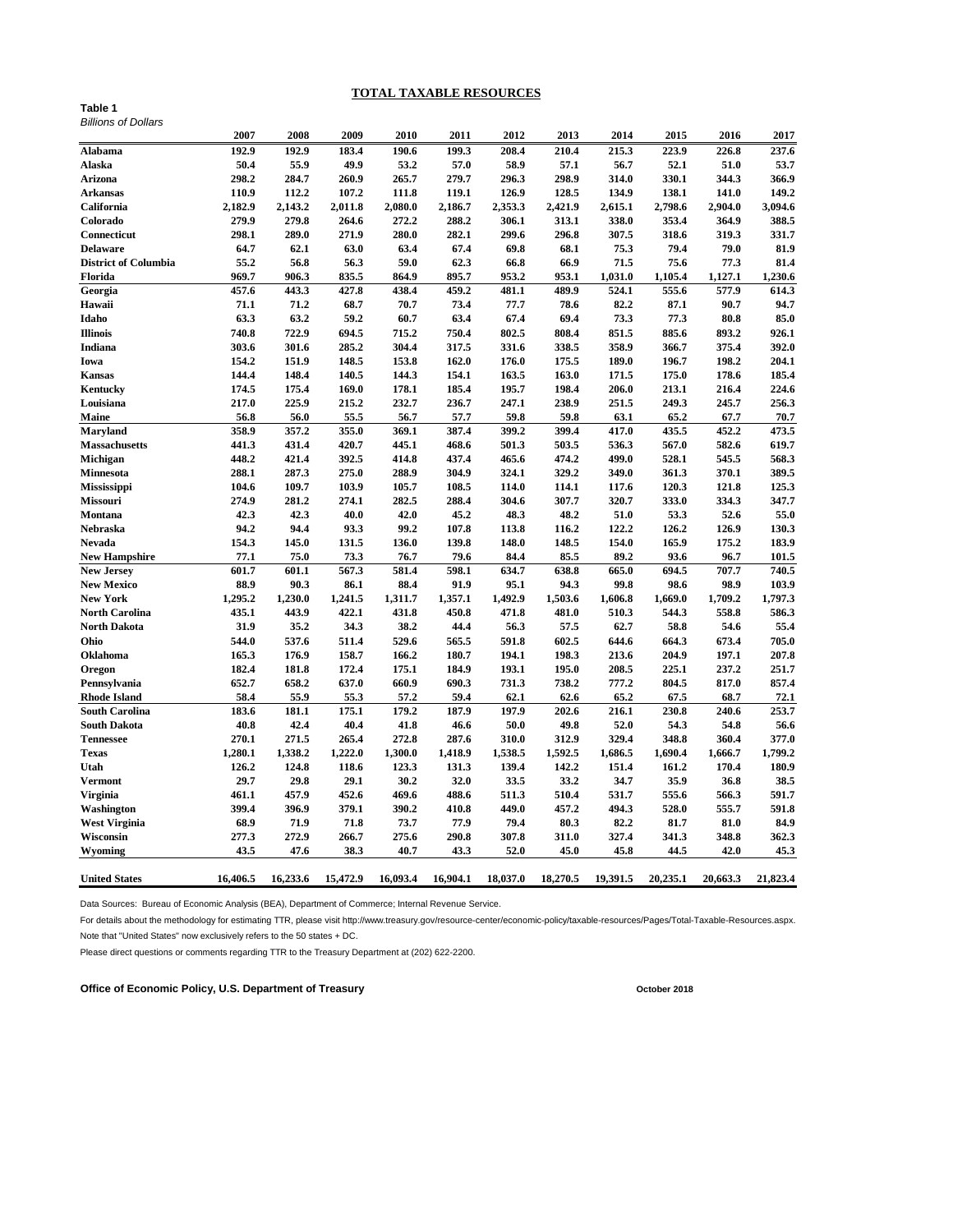# **TOTAL TAXABLE RESOURCES**

#### **Table 1** *Billions of Dollars*

|                             | 2007     | 2008     | 2009     | 2010     | 2011     | 2012     | 2013     | 2014     | 2015     | 2016     | 2017     |
|-----------------------------|----------|----------|----------|----------|----------|----------|----------|----------|----------|----------|----------|
| <b>Alabama</b>              | 192.9    | 192.9    | 183.4    | 190.6    | 199.3    | 208.4    | 210.4    | 215.3    | 223.9    | 226.8    | 237.6    |
| <b>Alaska</b>               | 50.4     | 55.9     | 49.9     | 53.2     | 57.0     | 58.9     | 57.1     | 56.7     | 52.1     | 51.0     | 53.7     |
| <b>Arizona</b>              | 298.2    | 284.7    | 260.9    | 265.7    | 279.7    | 296.3    | 298.9    | 314.0    | 330.1    | 344.3    | 366.9    |
| <b>Arkansas</b>             | 110.9    | 112.2    | 107.2    | 111.8    | 119.1    | 126.9    | 128.5    | 134.9    | 138.1    | 141.0    | 149.2    |
| California                  | 2,182.9  | 2,143.2  | 2,011.8  | 2,080.0  | 2,186.7  | 2,353.3  | 2,421.9  | 2,615.1  | 2,798.6  | 2,904.0  | 3,094.6  |
| Colorado                    | 279.9    | 279.8    | 264.6    | 272.2    | 288.2    | 306.1    | 313.1    | 338.0    | 353.4    | 364.9    | 388.5    |
| <b>Connecticut</b>          | 298.1    | 289.0    | 271.9    | 280.0    | 282.1    | 299.6    | 296.8    | 307.5    | 318.6    | 319.3    | 331.7    |
| <b>Delaware</b>             | 64.7     | 62.1     | 63.0     | 63.4     | 67.4     | 69.8     | 68.1     | 75.3     | 79.4     | 79.0     | 81.9     |
| <b>District of Columbia</b> | 55.2     | 56.8     | 56.3     | 59.0     | 62.3     | 66.8     | 66.9     | 71.5     | 75.6     | 77.3     | 81.4     |
| Florida                     | 969.7    | 906.3    | 835.5    | 864.9    | 895.7    | 953.2    | 953.1    | 1,031.0  | 1,105.4  | 1,127.1  | 1,230.6  |
| Georgia                     | 457.6    | 443.3    | 427.8    | 438.4    | 459.2    | 481.1    | 489.9    | 524.1    | 555.6    | 577.9    | 614.3    |
| Hawaii                      | 71.1     | 71.2     | 68.7     | 70.7     | 73.4     | 77.7     | 78.6     | 82.2     | 87.1     | 90.7     | 94.7     |
| Idaho                       | 63.3     | 63.2     | 59.2     | 60.7     | 63.4     | 67.4     | 69.4     | 73.3     | 77.3     | 80.8     | 85.0     |
| <b>Illinois</b>             | 740.8    | 722.9    | 694.5    | 715.2    | 750.4    | 802.5    | 808.4    | 851.5    | 885.6    | 893.2    | 926.1    |
| Indiana                     | 303.6    | 301.6    | 285.2    | 304.4    | 317.5    | 331.6    | 338.5    | 358.9    | 366.7    | 375.4    | 392.0    |
| Iowa                        | 154.2    | 151.9    | 148.5    | 153.8    | 162.0    | 176.0    | 175.5    | 189.0    | 196.7    | 198.2    | 204.1    |
| <b>Kansas</b>               | 144.4    | 148.4    | 140.5    | 144.3    | 154.1    | 163.5    | 163.0    | 171.5    | 175.0    | 178.6    | 185.4    |
| <b>Kentucky</b>             | 174.5    | 175.4    | 169.0    | 178.1    | 185.4    | 195.7    | 198.4    | 206.0    | 213.1    | 216.4    | 224.6    |
| Louisiana                   | 217.0    | 225.9    | 215.2    | 232.7    | 236.7    | 247.1    | 238.9    | 251.5    | 249.3    | 245.7    | 256.3    |
| <b>Maine</b>                | 56.8     | 56.0     | 55.5     | 56.7     | 57.7     | 59.8     | 59.8     | 63.1     | 65.2     | 67.7     | 70.7     |
| <b>Maryland</b>             | 358.9    | 357.2    | 355.0    | 369.1    | 387.4    | 399.2    | 399.4    | 417.0    | 435.5    | 452.2    | 473.5    |
| <b>Massachusetts</b>        | 441.3    | 431.4    | 420.7    | 445.1    | 468.6    | 501.3    | 503.5    | 536.3    | 567.0    | 582.6    | 619.7    |
| <b>Michigan</b>             | 448.2    | 421.4    | 392.5    | 414.8    | 437.4    | 465.6    | 474.2    | 499.0    | 528.1    | 545.5    | 568.3    |
| <b>Minnesota</b>            | 288.1    | 287.3    | 275.0    | 288.9    | 304.9    | 324.1    | 329.2    | 349.0    | 361.3    | 370.1    | 389.5    |
| Mississippi                 | 104.6    | 109.7    | 103.9    | 105.7    | 108.5    | 114.0    | 114.1    | 117.6    | 120.3    | 121.8    | 125.3    |
| <b>Missouri</b>             | 274.9    | 281.2    | 274.1    | 282.5    | 288.4    | 304.6    | 307.7    | 320.7    | 333.0    | 334.3    | 347.7    |
| <b>Montana</b>              | 42.3     | 42.3     | 40.0     | 42.0     | 45.2     | 48.3     | 48.2     | 51.0     | 53.3     | 52.6     | 55.0     |
| <b>Nebraska</b>             | 94.2     | 94.4     | 93.3     | 99.2     | 107.8    | 113.8    | 116.2    | 122.2    | 126.2    | 126.9    | 130.3    |
| <b>Nevada</b>               | 154.3    | 145.0    | 131.5    | 136.0    | 139.8    | 148.0    | 148.5    | 154.0    | 165.9    | 175.2    | 183.9    |
| <b>New Hampshire</b>        | 77.1     | 75.0     | 73.3     | 76.7     | 79.6     | 84.4     | 85.5     | 89.2     | 93.6     | 96.7     | 101.5    |
| <b>New Jersey</b>           | 601.7    | 601.1    | 567.3    | 581.4    | 598.1    | 634.7    | 638.8    | 665.0    | 694.5    | 707.7    | 740.5    |
| <b>New Mexico</b>           | 88.9     | 90.3     | 86.1     | 88.4     | 91.9     | 95.1     | 94.3     | 99.8     | 98.6     | 98.9     | 103.9    |
| <b>New York</b>             | 1,295.2  | 1,230.0  | 1,241.5  | 1,311.7  | 1,357.1  | 1,492.9  | 1,503.6  | 1,606.8  | 1,669.0  | 1,709.2  | 1,797.3  |
| <b>North Carolina</b>       | 435.1    | 443.9    | 422.1    | 431.8    | 450.8    | 471.8    | 481.0    | 510.3    | 544.3    | 558.8    | 586.3    |
| <b>North Dakota</b>         | 31.9     | 35.2     | 34.3     | 38.2     | 44.4     | 56.3     | 57.5     | 62.7     | 58.8     | 54.6     | 55.4     |
| Ohio                        | 544.0    | 537.6    | 511.4    | 529.6    | 565.5    | 591.8    | 602.5    | 644.6    | 664.3    | 673.4    | 705.0    |
| <b>Oklahoma</b>             | 165.3    | 176.9    | 158.7    | 166.2    | 180.7    | 194.1    | 198.3    | 213.6    | 204.9    | 197.1    | 207.8    |
| <b>Oregon</b>               | 182.4    | 181.8    | 172.4    | 175.1    | 184.9    | 193.1    | 195.0    | 208.5    | 225.1    | 237.2    | 251.7    |
| Pennsylvania                | 652.7    | 658.2    | 637.0    | 660.9    | 690.3    | 731.3    | 738.2    | 777.2    | 804.5    | 817.0    | 857.4    |
| <b>Rhode Island</b>         | 58.4     | 55.9     | 55.3     | 57.2     | 59.4     | 62.1     | 62.6     | 65.2     | 67.5     | 68.7     | 72.1     |
| <b>South Carolina</b>       | 183.6    | 181.1    | 175.1    | 179.2    | 187.9    | 197.9    | 202.6    | 216.1    | 230.8    | 240.6    | 253.7    |
| <b>South Dakota</b>         | 40.8     | 42.4     | 40.4     | 41.8     | 46.6     | 50.0     | 49.8     | 52.0     | 54.3     | 54.8     | 56.6     |
| <b>Tennessee</b>            | 270.1    | 271.5    | 265.4    | 272.8    | 287.6    | 310.0    | 312.9    | 329.4    | 348.8    | 360.4    | 377.0    |
| <b>Texas</b>                | 1,280.1  | 1,338.2  | 1,222.0  | 1,300.0  | 1,418.9  | 1,538.5  | 1,592.5  | 1,686.5  | 1,690.4  | 1,666.7  | 1,799.2  |
| Utah                        | 126.2    | 124.8    | 118.6    | 123.3    | 131.3    | 139.4    | 142.2    | 151.4    | 161.2    | 170.4    | 180.9    |
| <b>Vermont</b>              | 29.7     | 29.8     | 29.1     | 30.2     | 32.0     | 33.5     | 33.2     | 34.7     | 35.9     | 36.8     | 38.5     |
| <b>Virginia</b>             | 461.1    | 457.9    | 452.6    | 469.6    | 488.6    | 511.3    | 510.4    | 531.7    | 555.6    | 566.3    | 591.7    |
| Washington                  | 399.4    | 396.9    | 379.1    | 390.2    | 410.8    | 449.0    | 457.2    | 494.3    | 528.0    | 555.7    | 591.8    |
| <b>West Virginia</b>        | 68.9     | 71.9     | 71.8     | 73.7     | 77.9     | 79.4     | 80.3     | 82.2     | 81.7     | 81.0     | 84.9     |
| Wisconsin                   | 277.3    | 272.9    | 266.7    | 275.6    | 290.8    | 307.8    | 311.0    | 327.4    | 341.3    | 348.8    | 362.3    |
| <b>Wyoming</b>              | 43.5     | 47.6     | 38.3     | 40.7     | 43.3     | 52.0     | 45.0     | 45.8     | 44.5     | 42.0     | 45.3     |
| <b>United States</b>        | 16,406.5 | 16,233.6 | 15,472.9 | 16,093.4 | 16,904.1 | 18,037.0 | 18,270.5 | 19,391.5 | 20,235.1 | 20,663.3 | 21,823.4 |

Data Sources: Bureau of Economic Analysis (BEA), Department of Commerce; Internal Revenue Service.

For details about the methodology for estimating TTR, please visit http://www.treasury.gov/resource-center/economic-policy/taxable-resources/Pages/Total-Taxable-Resources.aspx.

Note that "United States" now exclusively refers to the 50 states + DC.

Please direct questions or comments regarding TTR to the Treasury Department at (202) 622-2200.

Office of Economic Policy, U.S. Department of Treasury **Construction Construction Construction** October 2018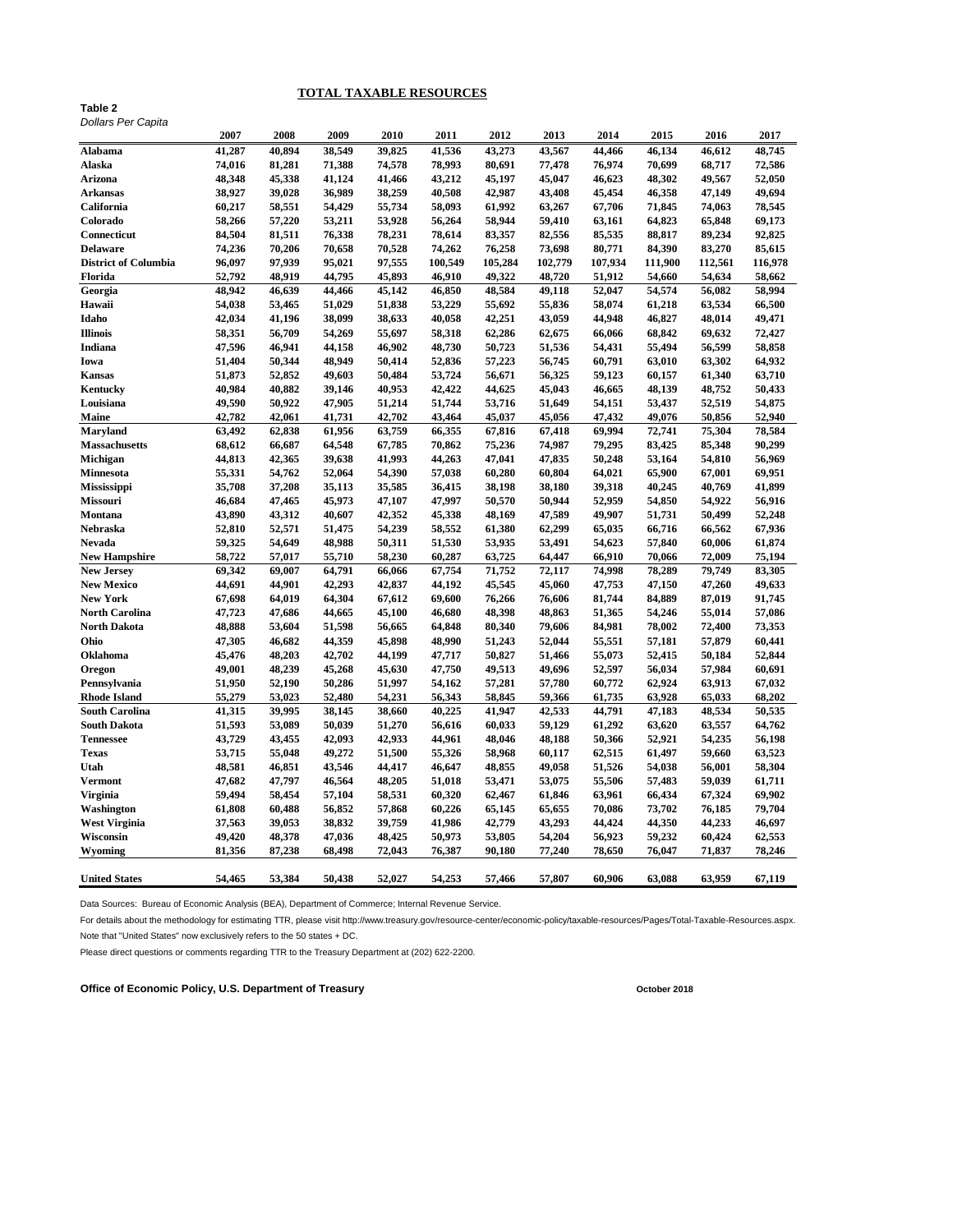# **TOTAL TAXABLE RESOURCES**

### **Table 2** *Dollars Per Capita*

|                             | 2007   | 2008   | 2009   | 2010   | 2011    | 2012    | 2013    | 2014    | 2015    | 2016    | 2017    |
|-----------------------------|--------|--------|--------|--------|---------|---------|---------|---------|---------|---------|---------|
| <b>Alabama</b>              | 41,287 | 40,894 | 38,549 | 39,825 | 41,536  | 43,273  | 43,567  | 44,466  | 46,134  | 46,612  | 48,745  |
| <b>Alaska</b>               | 74,016 | 81,281 | 71,388 | 74,578 | 78,993  | 80,691  | 77,478  | 76,974  | 70,699  | 68,717  | 72,586  |
| <b>Arizona</b>              | 48,348 | 45,338 | 41,124 | 41,466 | 43,212  | 45,197  | 45,047  | 46,623  | 48,302  | 49,567  | 52,050  |
| <b>Arkansas</b>             | 38,927 | 39,028 | 36,989 | 38,259 | 40,508  | 42,987  | 43,408  | 45,454  | 46,358  | 47,149  | 49,694  |
| California                  | 60,217 | 58,551 | 54,429 | 55,734 | 58,093  | 61,992  | 63,267  | 67,706  | 71,845  | 74,063  | 78,545  |
| Colorado                    | 58,266 | 57,220 | 53,211 | 53,928 | 56,264  | 58,944  | 59,410  | 63,161  | 64,823  | 65,848  | 69,173  |
| <b>Connecticut</b>          | 84,504 | 81,511 | 76,338 | 78,231 | 78,614  | 83,357  | 82,556  | 85,535  | 88,817  | 89,234  | 92,825  |
| <b>Delaware</b>             | 74,236 | 70,206 | 70,658 | 70,528 | 74,262  | 76,258  | 73,698  | 80,771  | 84,390  | 83,270  | 85,615  |
| <b>District of Columbia</b> | 96,097 | 97,939 | 95,021 | 97,555 | 100,549 | 105,284 | 102,779 | 107,934 | 111,900 | 112,561 | 116,978 |
| Florida                     | 52,792 | 48,919 | 44,795 | 45,893 | 46,910  | 49,322  | 48,720  | 51,912  | 54,660  | 54,634  | 58,662  |
| Georgia                     | 48,942 | 46,639 | 44,466 | 45,142 | 46,850  | 48,584  | 49,118  | 52,047  | 54,574  | 56,082  | 58,994  |
| Hawaii                      | 54,038 | 53,465 | 51,029 | 51,838 | 53,229  | 55,692  | 55,836  | 58,074  | 61,218  | 63,534  | 66,500  |
| Idaho                       | 42,034 | 41,196 | 38,099 | 38,633 | 40,058  | 42,251  | 43,059  | 44,948  | 46,827  | 48,014  | 49,471  |
| <b>Illinois</b>             | 58,351 | 56,709 | 54,269 | 55,697 | 58,318  | 62,286  | 62,675  | 66,066  | 68,842  | 69,632  | 72,427  |
| <b>Indiana</b>              | 47,596 | 46,941 | 44,158 | 46,902 | 48,730  | 50,723  | 51,536  | 54,431  | 55,494  | 56,599  | 58,858  |
| Iowa                        | 51,404 | 50,344 | 48,949 | 50,414 | 52,836  | 57,223  | 56,745  | 60,791  | 63,010  | 63,302  | 64,932  |
| <b>Kansas</b>               | 51,873 | 52,852 | 49,603 | 50,484 | 53,724  | 56,671  | 56,325  | 59,123  | 60,157  | 61,340  | 63,710  |
| <b>Kentucky</b>             | 40,984 | 40,882 | 39,146 | 40,953 | 42,422  | 44,625  | 45,043  | 46,665  | 48,139  | 48,752  | 50,433  |
| Louisiana                   | 49,590 | 50,922 | 47,905 | 51,214 | 51,744  | 53,716  | 51,649  | 54,151  | 53,437  | 52,519  | 54,875  |
| <b>Maine</b>                | 42,782 | 42,061 | 41,731 | 42,702 | 43,464  | 45,037  | 45,056  | 47,432  | 49,076  | 50,856  | 52,940  |
| <b>Maryland</b>             | 63,492 | 62,838 | 61,956 | 63,759 | 66,355  | 67,816  | 67,418  | 69,994  | 72,741  | 75,304  | 78,584  |
| <b>Massachusetts</b>        | 68,612 | 66,687 | 64,548 | 67,785 | 70,862  | 75,236  | 74,987  | 79,295  | 83,425  | 85,348  | 90,299  |
| Michigan                    | 44,813 | 42,365 | 39,638 | 41,993 | 44,263  | 47,041  | 47,835  | 50,248  | 53,164  | 54,810  | 56,969  |
| <b>Minnesota</b>            | 55,331 | 54,762 | 52,064 | 54,390 | 57,038  | 60,280  | 60,804  | 64,021  | 65,900  | 67,001  | 69,951  |
| Mississippi                 | 35,708 | 37,208 | 35,113 | 35,585 | 36,415  | 38,198  | 38,180  | 39,318  | 40,245  | 40,769  | 41,899  |
| Missouri                    | 46,684 | 47,465 | 45,973 | 47,107 | 47,997  | 50,570  | 50,944  | 52,959  | 54,850  | 54,922  | 56,916  |
| <b>Montana</b>              | 43,890 | 43,312 | 40,607 | 42,352 | 45,338  | 48,169  | 47,589  | 49,907  | 51,731  | 50,499  | 52,248  |
| <b>Nebraska</b>             | 52,810 | 52,571 | 51,475 | 54,239 | 58,552  | 61,380  | 62,299  | 65,035  | 66,716  | 66,562  | 67,936  |
| <b>Nevada</b>               | 59,325 | 54,649 | 48,988 | 50,311 | 51,530  | 53,935  | 53,491  | 54,623  | 57,840  | 60,006  | 61,874  |
| <b>New Hampshire</b>        | 58,722 | 57,017 | 55,710 | 58,230 | 60,287  | 63,725  | 64,447  | 66,910  | 70,066  | 72,009  | 75,194  |
| <b>New Jersey</b>           | 69,342 | 69,007 | 64,791 | 66,066 | 67,754  | 71,752  | 72,117  | 74,998  | 78,289  | 79,749  | 83,305  |
| <b>New Mexico</b>           | 44,691 | 44,901 | 42,293 | 42,837 | 44,192  | 45,545  | 45,060  | 47,753  | 47,150  | 47,260  | 49,633  |
| <b>New York</b>             | 67,698 | 64,019 | 64,304 | 67,612 | 69,600  | 76,266  | 76,606  | 81,744  | 84,889  | 87,019  | 91,745  |
| <b>North Carolina</b>       | 47,723 | 47,686 | 44,665 | 45,100 | 46,680  | 48,398  | 48,863  | 51,365  | 54,246  | 55,014  | 57,086  |
| <b>North Dakota</b>         | 48,888 | 53,604 | 51,598 | 56,665 | 64,848  | 80,340  | 79,606  | 84,981  | 78,002  | 72,400  | 73,353  |
| Ohio                        | 47,305 | 46,682 | 44,359 | 45,898 | 48,990  | 51,243  | 52,044  | 55,551  | 57,181  | 57,879  | 60,441  |
| <b>Oklahoma</b>             | 45,476 | 48,203 | 42,702 | 44,199 | 47,717  | 50,827  | 51,466  | 55,073  | 52,415  | 50,184  | 52,844  |
| Oregon                      | 49,001 | 48,239 | 45,268 | 45,630 | 47,750  | 49,513  | 49,696  | 52,597  | 56,034  | 57,984  | 60,691  |
| Pennsylvania                | 51,950 | 52,190 | 50,286 | 51,997 | 54,162  | 57,281  | 57,780  | 60,772  | 62,924  | 63,913  | 67,032  |
| <b>Rhode Island</b>         | 55,279 | 53,023 | 52,480 | 54,231 | 56,343  | 58,845  | 59,366  | 61,735  | 63,928  | 65,033  | 68,202  |
| <b>South Carolina</b>       | 41,315 | 39,995 | 38,145 | 38,660 | 40,225  | 41,947  | 42,533  | 44,791  | 47,183  | 48,534  | 50,535  |
| <b>South Dakota</b>         | 51,593 | 53,089 | 50,039 | 51,270 | 56,616  | 60,033  | 59,129  | 61,292  | 63,620  | 63,557  | 64,762  |
| <b>Tennessee</b>            | 43,729 | 43,455 | 42,093 | 42,933 | 44,961  | 48,046  | 48,188  | 50,366  | 52,921  | 54,235  | 56,198  |
| <b>Texas</b>                | 53,715 | 55,048 | 49,272 | 51,500 | 55,326  | 58,968  | 60,117  | 62,515  | 61,497  | 59,660  | 63,523  |
| Utah                        | 48,581 | 46,851 | 43,546 | 44,417 | 46,647  | 48,855  | 49,058  | 51,526  | 54,038  | 56,001  | 58,304  |
| <b>Vermont</b>              | 47,682 | 47,797 | 46,564 | 48,205 | 51,018  | 53,471  | 53,075  | 55,506  | 57,483  | 59,039  | 61,711  |
| <b>Virginia</b>             | 59,494 | 58,454 | 57,104 | 58,531 | 60,320  | 62,467  | 61,846  | 63,961  | 66,434  | 67,324  | 69,902  |
| <b>Washington</b>           | 61,808 | 60,488 | 56,852 | 57,868 | 60,226  | 65,145  | 65,655  | 70,086  | 73,702  | 76,185  | 79,704  |
| <b>West Virginia</b>        | 37,563 | 39,053 | 38,832 | 39,759 | 41,986  | 42,779  | 43,293  | 44,424  | 44,350  | 44,233  | 46,697  |
| Wisconsin                   | 49,420 | 48,378 | 47,036 | 48,425 | 50,973  | 53,805  | 54,204  | 56,923  | 59,232  | 60,424  | 62,553  |
| <b>Wyoming</b>              | 81,356 | 87,238 | 68,498 | 72,043 | 76,387  | 90,180  | 77,240  | 78,650  | 76,047  | 71,837  | 78,246  |
| <b>United States</b>        | 54,465 | 53,384 | 50,438 | 52,027 | 54,253  | 57,466  | 57,807  | 60,906  | 63,088  | 63,959  | 67,119  |

Data Sources: Bureau of Economic Analysis (BEA), Department of Commerce; Internal Revenue Service.

For details about the methodology for estimating TTR, please visit http://www.treasury.gov/resource-center/economic-policy/taxable-resources/Pages/Total-Taxable-Resources.aspx.

Note that "United States" now exclusively refers to the 50 states + DC.

Please direct questions or comments regarding TTR to the Treasury Department at (202) 622-2200.

Office of Economic Policy, U.S. Department of Treasury **Construction Construction Construction** October 2018